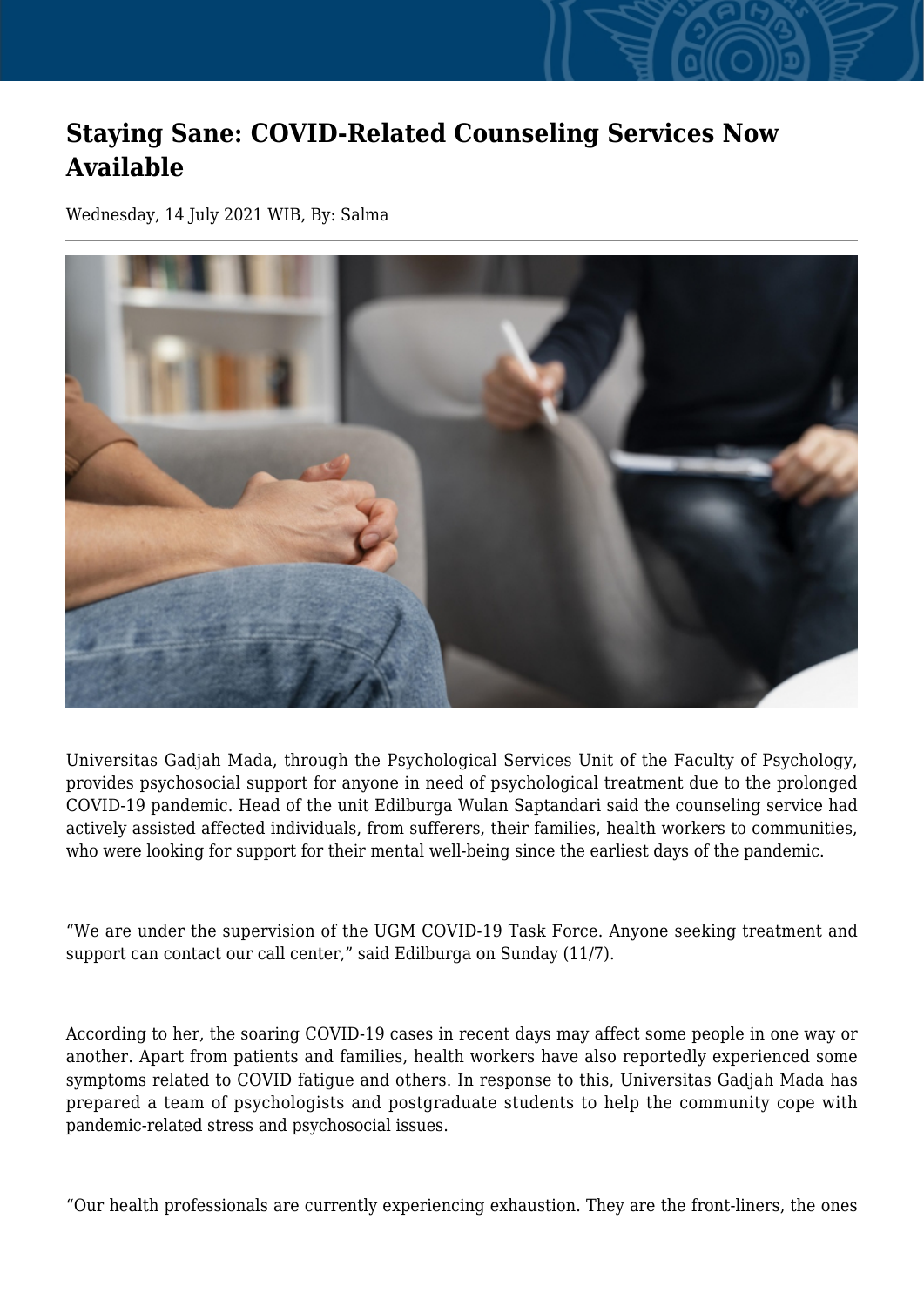## **Staying Sane: COVID-Related Counseling Services Now Available**

Wednesday, 14 July 2021 WIB, By: Salma



Universitas Gadjah Mada, through the Psychological Services Unit of the Faculty of Psychology, provides psychosocial support for anyone in need of psychological treatment due to the prolonged COVID-19 pandemic. Head of the unit Edilburga Wulan Saptandari said the counseling service had actively assisted affected individuals, from sufferers, their families, health workers to communities, who were looking for support for their mental well-being since the earliest days of the pandemic.

"We are under the supervision of the UGM COVID-19 Task Force. Anyone seeking treatment and support can contact our call center," said Edilburga on Sunday (11/7).

According to her, the soaring COVID-19 cases in recent days may affect some people in one way or another. Apart from patients and families, health workers have also reportedly experienced some symptoms related to COVID fatigue and others. In response to this, Universitas Gadjah Mada has prepared a team of psychologists and postgraduate students to help the community cope with pandemic-related stress and psychosocial issues.

"Our health professionals are currently experiencing exhaustion. They are the front-liners, the ones